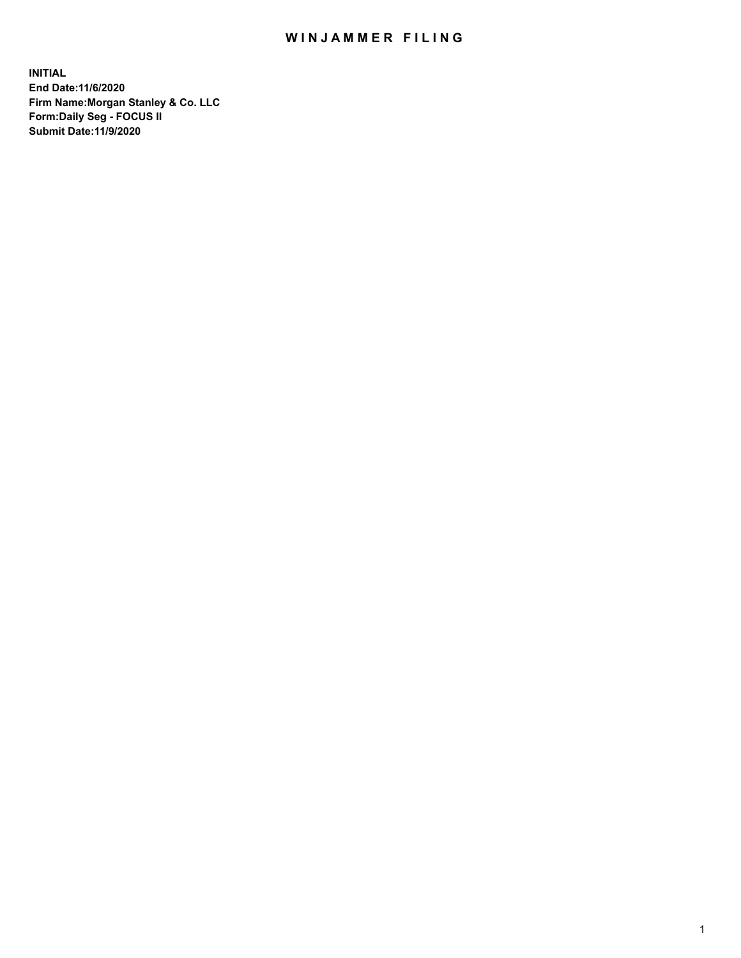## WIN JAMMER FILING

**INITIAL End Date:11/6/2020 Firm Name:Morgan Stanley & Co. LLC Form:Daily Seg - FOCUS II Submit Date:11/9/2020**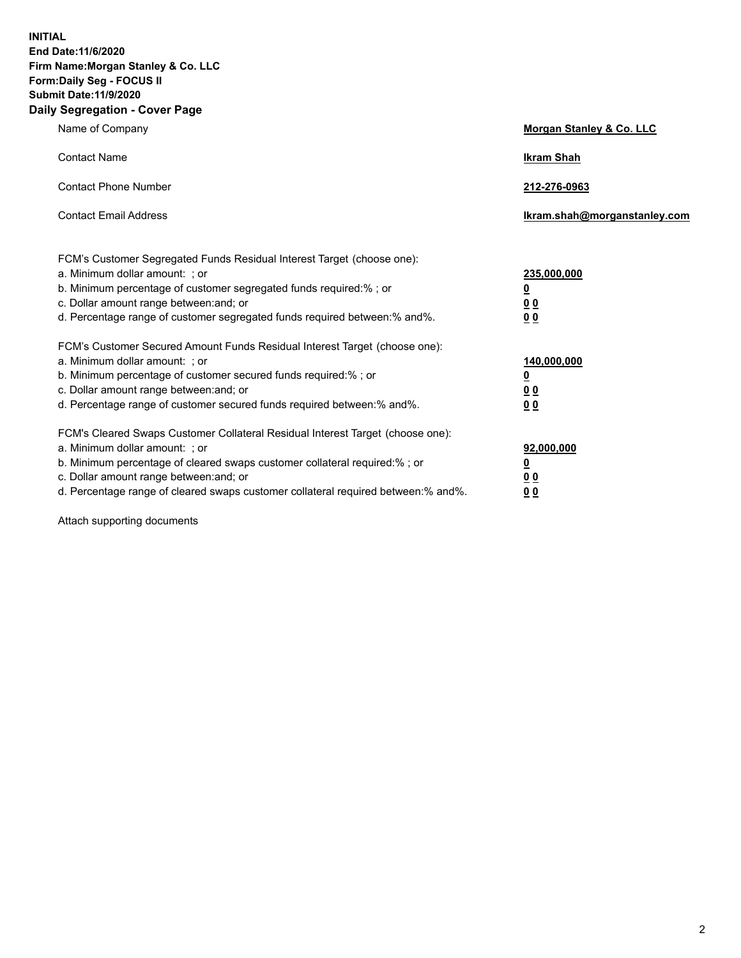**INITIAL End Date:11/6/2020 Firm Name:Morgan Stanley & Co. LLC Form:Daily Seg - FOCUS II Submit Date:11/9/2020 Daily Segregation - Cover Page**

| Name of Company                                                                                          | Morgan Stanley & Co. LLC     |
|----------------------------------------------------------------------------------------------------------|------------------------------|
| <b>Contact Name</b>                                                                                      | <b>Ikram Shah</b>            |
| <b>Contact Phone Number</b>                                                                              | 212-276-0963                 |
| <b>Contact Email Address</b>                                                                             | Ikram.shah@morganstanley.com |
|                                                                                                          |                              |
| FCM's Customer Segregated Funds Residual Interest Target (choose one):<br>a. Minimum dollar amount: ; or | 235,000,000                  |
| b. Minimum percentage of customer segregated funds required:% ; or                                       | <u>0</u>                     |
| c. Dollar amount range between: and; or                                                                  | <u>00</u>                    |
| d. Percentage range of customer segregated funds required between: % and %.                              | 0 <sup>0</sup>               |
| FCM's Customer Secured Amount Funds Residual Interest Target (choose one):                               |                              |
| a. Minimum dollar amount: ; or                                                                           | 140,000,000                  |
| b. Minimum percentage of customer secured funds required:%; or                                           | <u>0</u>                     |
| c. Dollar amount range between: and; or                                                                  | <u>0 0</u>                   |
| d. Percentage range of customer secured funds required between:% and%.                                   | 0 Q                          |
| FCM's Cleared Swaps Customer Collateral Residual Interest Target (choose one):                           |                              |
| a. Minimum dollar amount: ; or                                                                           | 92,000,000                   |
| b. Minimum percentage of cleared swaps customer collateral required:% ; or                               | <u>0</u>                     |
| c. Dollar amount range between: and; or                                                                  | 0 Q                          |
| d. Percentage range of cleared swaps customer collateral required between:% and%.                        | 0 <sub>0</sub>               |

Attach supporting documents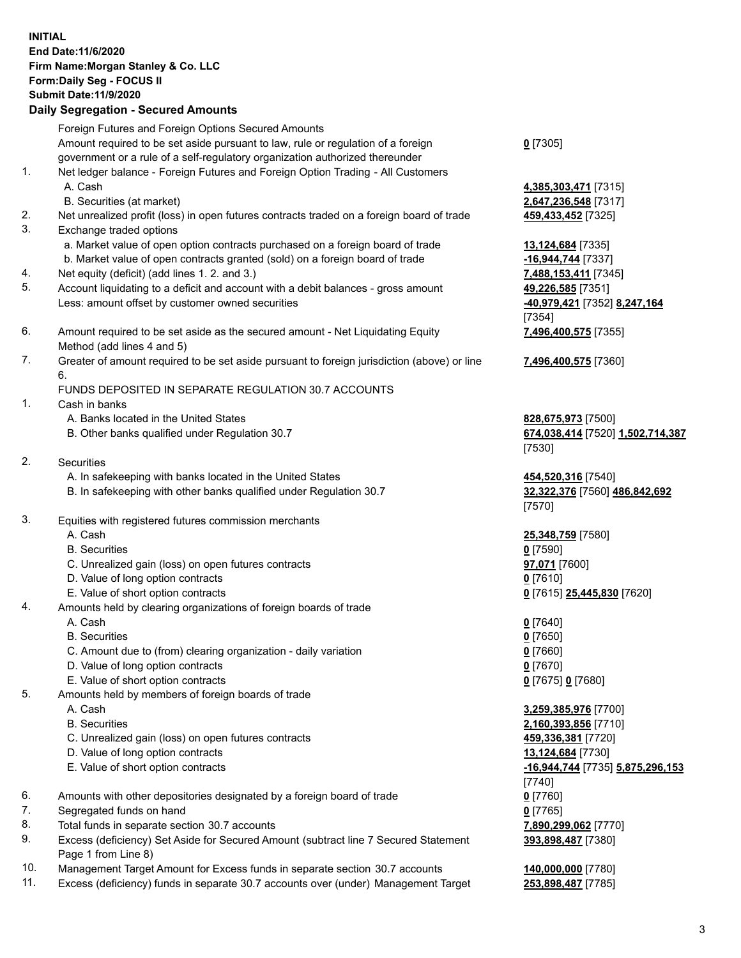## **INITIAL End Date:11/6/2020 Firm Name:Morgan Stanley & Co. LLC Form:Daily Seg - FOCUS II Submit Date:11/9/2020 Daily Segregation - Secured Amounts**

Foreign Futures and Foreign Options Secured Amounts Amount required to be set aside pursuant to law, rule or regulation of a foreign government or a rule of a self-regulatory organization authorized thereunder 1. Net ledger balance - Foreign Futures and Foreign Option Trading - All Customers A. Cash **4,385,303,471** [7315] B. Securities (at market) **2,647,236,548** [7317] 2. Net unrealized profit (loss) in open futures contracts traded on a foreign board of trade **459,433,452** [7325] 3. Exchange traded options a. Market value of open option contracts purchased on a foreign board of trade **13,124,684** [7335] b. Market value of open contracts granted (sold) on a foreign board of trade **-16,944,744** [7337] 4. Net equity (deficit) (add lines 1. 2. and 3.) **7,488,153,411** [7345] 5. Account liquidating to a deficit and account with a debit balances - gross amount **49,226,585** [7351] Less: amount offset by customer owned securities **-40,979,421** [7352] **8,247,164**

- 6. Amount required to be set aside as the secured amount Net Liquidating Equity Method (add lines 4 and 5)
- 7. Greater of amount required to be set aside pursuant to foreign jurisdiction (above) or line 6.

## FUNDS DEPOSITED IN SEPARATE REGULATION 30.7 ACCOUNTS

- 1. Cash in banks
	- A. Banks located in the United States **828,675,973** [7500]
	- B. Other banks qualified under Regulation 30.7 **674,038,414** [7520] **1,502,714,387**
- 2. Securities
	- A. In safekeeping with banks located in the United States **454,520,316** [7540]
	- B. In safekeeping with other banks qualified under Regulation 30.7 **32,322,376** [7560] **486,842,692**
- 3. Equities with registered futures commission merchants
	-
	- B. Securities **0** [7590]
	- C. Unrealized gain (loss) on open futures contracts **97,071** [7600]
	- D. Value of long option contracts **0** [7610]
	- E. Value of short option contracts **0** [7615] **25,445,830** [7620]
- 4. Amounts held by clearing organizations of foreign boards of trade
	- A. Cash **0** [7640]
	- B. Securities **0** [7650]
	- C. Amount due to (from) clearing organization daily variation **0** [7660]
	- D. Value of long option contracts **0** [7670]
	- E. Value of short option contracts **0** [7675] **0** [7680]
- 5. Amounts held by members of foreign boards of trade
	-
	-
	- C. Unrealized gain (loss) on open futures contracts **459,336,381** [7720]
	- D. Value of long option contracts **13,124,684** [7730]
	-
- 6. Amounts with other depositories designated by a foreign board of trade **0** [7760]
- 7. Segregated funds on hand **0** [7765]
- 8. Total funds in separate section 30.7 accounts **7,890,299,062** [7770]
- 9. Excess (deficiency) Set Aside for Secured Amount (subtract line 7 Secured Statement Page 1 from Line 8)
- 10. Management Target Amount for Excess funds in separate section 30.7 accounts **140,000,000** [7780]
- 11. Excess (deficiency) funds in separate 30.7 accounts over (under) Management Target **253,898,487** [7785]

**0** [7305]

[7354] **7,496,400,575** [7355]

**7,496,400,575** [7360]

[7530]

[7570]

A. Cash **25,348,759** [7580]

 A. Cash **3,259,385,976** [7700] B. Securities **2,160,393,856** [7710] E. Value of short option contracts **-16,944,744** [7735] **5,875,296,153** [7740] **393,898,487** [7380]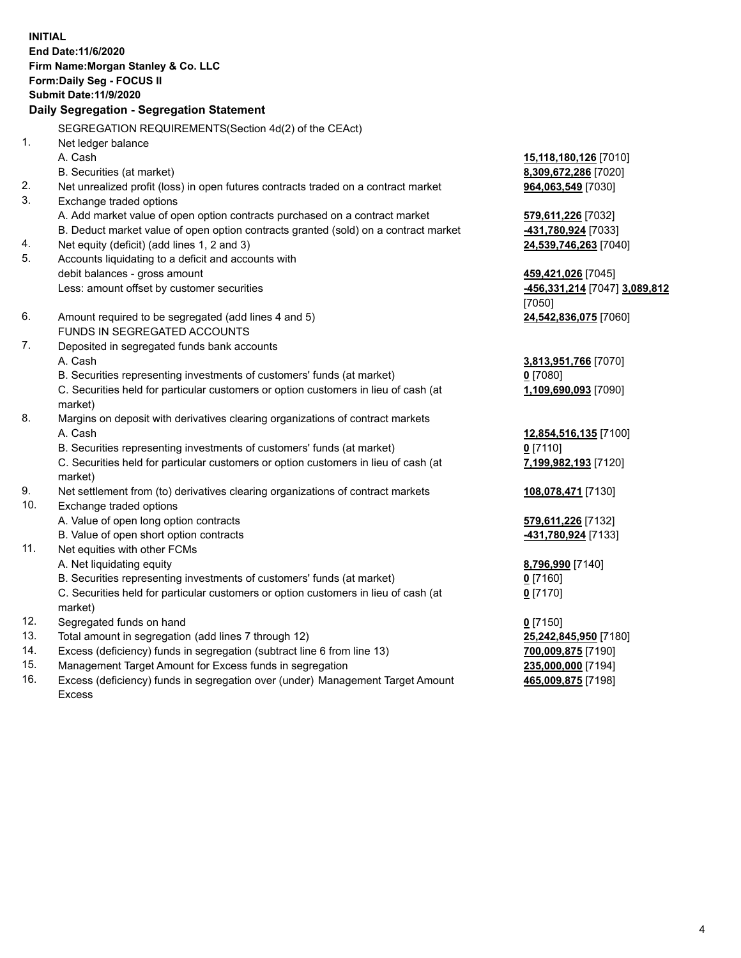**INITIAL End Date:11/6/2020 Firm Name:Morgan Stanley & Co. LLC Form:Daily Seg - FOCUS II Submit Date:11/9/2020 Daily Segregation - Segregation Statement** SEGREGATION REQUIREMENTS(Section 4d(2) of the CEAct) 1. Net ledger balance A. Cash **15,118,180,126** [7010] B. Securities (at market) **8,309,672,286** [7020] 2. Net unrealized profit (loss) in open futures contracts traded on a contract market **964,063,549** [7030] 3. Exchange traded options A. Add market value of open option contracts purchased on a contract market **579,611,226** [7032] B. Deduct market value of open option contracts granted (sold) on a contract market **-431,780,924** [7033] 4. Net equity (deficit) (add lines 1, 2 and 3) **24,539,746,263** [7040] 5. Accounts liquidating to a deficit and accounts with debit balances - gross amount **459,421,026** [7045] Less: amount offset by customer securities **-456,331,214** [7047] **3,089,812** [7050] 6. Amount required to be segregated (add lines 4 and 5) **24,542,836,075** [7060] FUNDS IN SEGREGATED ACCOUNTS 7. Deposited in segregated funds bank accounts A. Cash **3,813,951,766** [7070] B. Securities representing investments of customers' funds (at market) **0** [7080] C. Securities held for particular customers or option customers in lieu of cash (at market) **1,109,690,093** [7090] 8. Margins on deposit with derivatives clearing organizations of contract markets A. Cash **12,854,516,135** [7100] B. Securities representing investments of customers' funds (at market) **0** [7110] C. Securities held for particular customers or option customers in lieu of cash (at market) **7,199,982,193** [7120] 9. Net settlement from (to) derivatives clearing organizations of contract markets **108,078,471** [7130] 10. Exchange traded options A. Value of open long option contracts **579,611,226** [7132] B. Value of open short option contracts **-431,780,924** [7133] 11. Net equities with other FCMs A. Net liquidating equity **8,796,990** [7140] B. Securities representing investments of customers' funds (at market) **0** [7160] C. Securities held for particular customers or option customers in lieu of cash (at market) **0** [7170] 12. Segregated funds on hand **0** [7150] 13. Total amount in segregation (add lines 7 through 12) **25,242,845,950** [7180] 14. Excess (deficiency) funds in segregation (subtract line 6 from line 13) **700,009,875** [7190] 15. Management Target Amount for Excess funds in segregation **235,000,000** [7194]

16. Excess (deficiency) funds in segregation over (under) Management Target Amount Excess

**465,009,875** [7198]